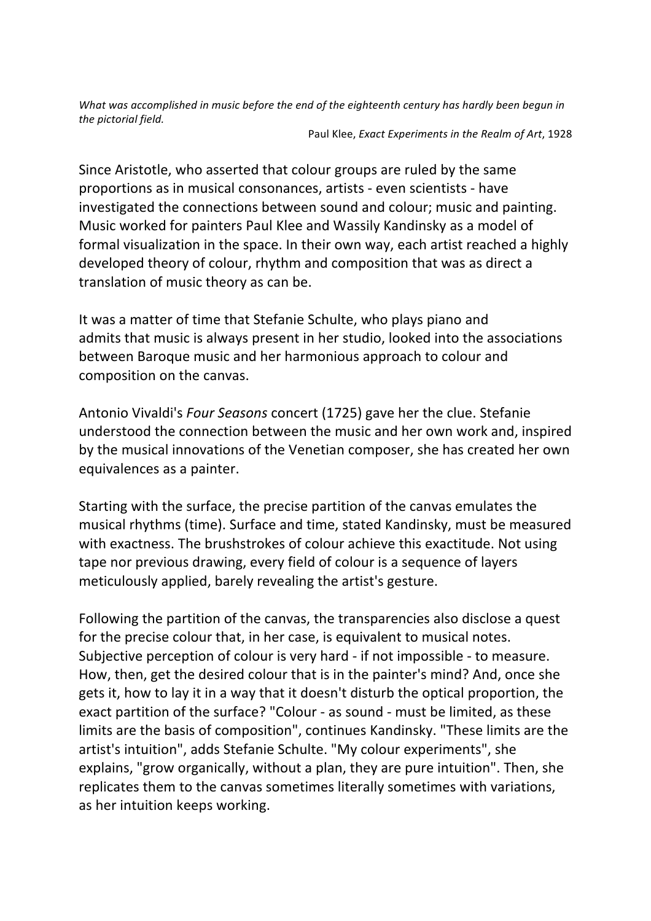What was accomplished in music before the end of the eighteenth century has hardly been begun in *the pictorial field.*

Paul Klee, *Exact Experiments in the Realm of Art*, 1928

Since Aristotle, who asserted that colour groups are ruled by the same proportions as in musical consonances, artists - even scientists - have investigated the connections between sound and colour; music and painting. Music worked for painters Paul Klee and Wassily Kandinsky as a model of formal visualization in the space. In their own way, each artist reached a highly developed theory of colour, rhythm and composition that was as direct a translation of music theory as can be.

It was a matter of time that Stefanie Schulte, who plays piano and admits that music is always present in her studio, looked into the associations between Baroque music and her harmonious approach to colour and composition on the canvas.

Antonio Vivaldi's *Four Seasons* concert (1725) gave her the clue. Stefanie understood the connection between the music and her own work and, inspired by the musical innovations of the Venetian composer, she has created her own equivalences as a painter.

Starting with the surface, the precise partition of the canvas emulates the musical rhythms (time). Surface and time, stated Kandinsky, must be measured with exactness. The brushstrokes of colour achieve this exactitude. Not using tape nor previous drawing, every field of colour is a sequence of layers meticulously applied, barely revealing the artist's gesture.

Following the partition of the canvas, the transparencies also disclose a quest for the precise colour that, in her case, is equivalent to musical notes. Subjective perception of colour is very hard - if not impossible - to measure. How, then, get the desired colour that is in the painter's mind? And, once she gets it, how to lay it in a way that it doesn't disturb the optical proportion, the exact partition of the surface? "Colour - as sound - must be limited, as these limits are the basis of composition", continues Kandinsky. "These limits are the artist's intuition", adds Stefanie Schulte. "My colour experiments", she explains, "grow organically, without a plan, they are pure intuition". Then, she replicates them to the canvas sometimes literally sometimes with variations, as her intuition keeps working.